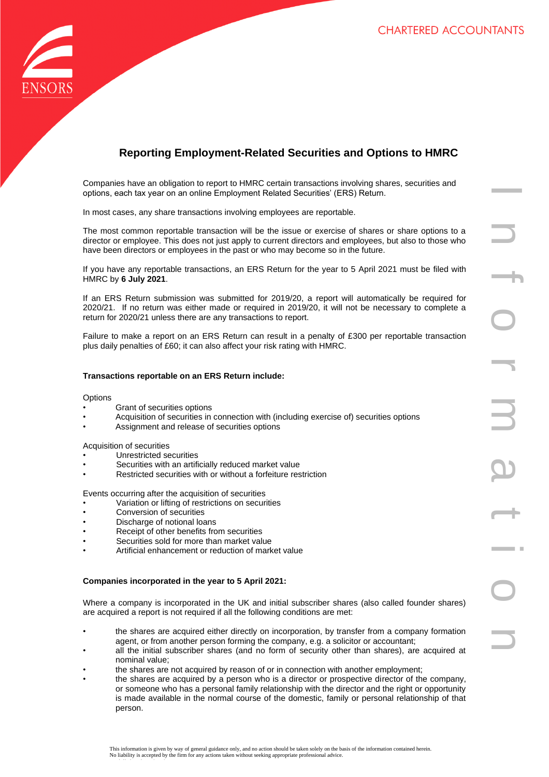

# **Reporting Employment-Related Securities and Options to HMRC**

Companies have an obligation to report to HMRC certain transactions involving shares, securities and options, each tax year on an online Employment Related Securities' (ERS) Return.

In most cases, any share transactions involving employees are reportable.

The most common reportable transaction will be the issue or exercise of shares or share options to a director or employee. This does not just apply to current directors and employees, but also to those who have been directors or employees in the past or who may become so in the future.

If you have any reportable transactions, an ERS Return for the year to 5 April 2021 must be filed with HMRC by **6 July 2021**.

If an ERS Return submission was submitted for 2019/20, a report will automatically be required for 2020/21. If no return was either made or required in 2019/20, it will not be necessary to complete a return for 2020/21 unless there are any transactions to report.

Failure to make a report on an ERS Return can result in a penalty of £300 per reportable transaction plus daily penalties of £60; it can also affect your risk rating with HMRC.

# **Transactions reportable on an ERS Return include:**

## **Options**

- Grant of securities options
- Acquisition of securities in connection with (including exercise of) securities options
- Assignment and release of securities options

## Acquisition of securities

- Unrestricted securities
- Securities with an artificially reduced market value
- Restricted securities with or without a forfeiture restriction

Events occurring after the acquisition of securities

- Variation or lifting of restrictions on securities
- Conversion of securities
- Discharge of notional loans
- Receipt of other benefits from securities
- Securities sold for more than market value
- Artificial enhancement or reduction of market value

## **Companies incorporated in the year to 5 April 2021:**

Where a company is incorporated in the UK and initial subscriber shares (also called founder shares) are acquired a report is not required if all the following conditions are met:

- the shares are acquired either directly on incorporation, by transfer from a company formation agent, or from another person forming the company, e.g. a solicitor or accountant;
- all the initial subscriber shares (and no form of security other than shares), are acquired at nominal value;
- the shares are not acquired by reason of or in connection with another employment;
- the shares are acquired by a person who is a director or prospective director of the company, or someone who has a personal family relationship with the director and the right or opportunity is made available in the normal course of the domestic, family or personal relationship of that person.